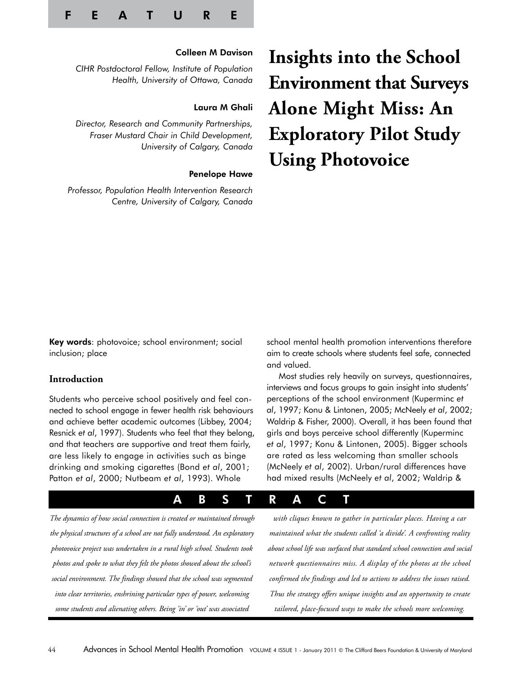

# Colleen M Davison

*CIHR Postdoctoral Fellow, Institute of Population Health, University of Ottawa, Canada*

# Laura M Ghali

*Director, Research and Community Partnerships, Fraser Mustard Chair in Child Development, University of Calgary, Canada*

## Penelope Hawe

*Professor, Population Health Intervention Research Centre, University of Calgary, Canada*

# **Insights into the School Environment that Surveys Alone Might Miss: An Exploratory Pilot Study Using Photovoice**

Key words: photovoice; school environment; social inclusion; place

# **Introduction**

Students who perceive school positively and feel connected to school engage in fewer health risk behaviours and achieve better academic outcomes (Libbey, 2004; Resnick *et al*, 1997). Students who feel that they belong, and that teachers are supportive and treat them fairly, are less likely to engage in activities such as binge drinking and smoking cigarettes (Bond *et al*, 2001; Patton *et al*, 2000; Nutbeam *et al*, 1993). Whole

school mental health promotion interventions therefore aim to create schools where students feel safe, connected and valued.

Most studies rely heavily on surveys, questionnaires, interviews and focus groups to gain insight into students' perceptions of the school environment (Kuperminc *et al*, 1997; Konu & Lintonen, 2005; McNeely *et al*, 2002; Waldrip & Fisher, 2000). Overall, it has been found that girls and boys perceive school differently (Kuperminc *et al*, 1997; Konu & Lintonen, 2005). Bigger schools are rated as less welcoming than smaller schools (McNeely *et al*, 2002). Urban/rural differences have had mixed results (McNeely *et al*, 2002; Waldrip &

# A B S T R A C T

*The dynamics of how social connection is created or maintained through the physical structures of a school are not fully understood. An exploratory photovoice project was undertaken in a rural high school. Students took photos and spoke to what they felt the photos showed about the school's social environment. The findings showed that the school was segmented into clear territories, enshrining particular types of power, welcoming some students and alienating others. Being 'in' or 'out' was associated* 

*with cliques known to gather in particular places. Having a car maintained what the students called 'a divide'. A confronting reality about school life was surfaced that standard school connection and social network questionnaires miss. A display of the photos at the school confirmed the findings and led to actions to address the issues raised. Thus the strategy offers unique insights and an opportunity to create tailored, place-focused ways to make the schools more welcoming.*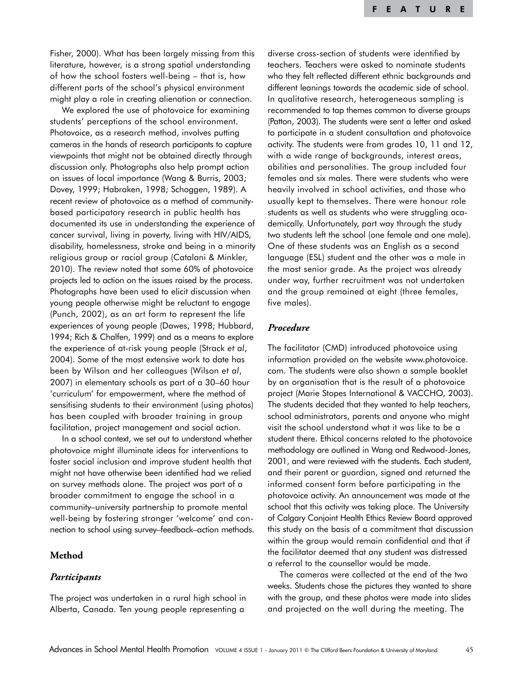Fisher, 2000). What has been largely missing from this literature, however, is a strong spatial understanding of how the school fosters well-being – that is, how different parts of the school's physical environment might play a role in creating alienation or connection.

We explored the use of photovoice for examining students' perceptions of the school environment. Photovoice, as a research method, involves putting cameras in the hands of research participants to capture viewpoints that might not be obtained directly through discussion only. Photographs also help prompt action on issues of local importance (Wang & Burris, 2003; Dovey, 1999; Habraken, 1998; Schoggen, 1989). A recent review of photovoice as a method of communitybased participatory research in public health has documented its use in understanding the experience of cancer survival, living in poverty, living with HIV/AIDS, disability, homelessness, stroke and being in a minority religious group or racial group (Catalani & Minkler, 2010). The review noted that some 60% of photovoice projects led to action on the issues raised by the process. Photographs have been used to elicit discussion when young people otherwise might be reluctant to engage (Punch, 2002), as an art form to represent the life experiences of young people (Dawes, 1998; Hubbard, 1994; Rich & Chalfen, 1999) and as a means to explore the experience of at-risk young people (Strack *et al*, 2004). Some of the most extensive work to date has been by Wilson and her colleagues (Wilson *et al*, 2007) in elementary schools as part of a 30–60 hour 'curriculum' for empowerment, where the method of sensitising students to their environment (using photos) has been coupled with broader training in group facilitation, project management and social action.

In a school context, we set out to understand whether photovoice might illuminate ideas for interventions to foster social inclusion and improve student health that might not have otherwise been identified had we relied on survey methods alone. The project was part of a broader commitment to engage the school in a community–university partnership to promote mental well-being by fostering stronger 'welcome' and connection to school using survey–feedback–action methods.

# **Method**

# *Participants*

The project was undertaken in a rural high school in Alberta, Canada. Ten young people representing a

diverse cross-section of students were identified by teachers. Teachers were asked to nominate students who they felt reflected different ethnic backgrounds and different leanings towards the academic side of school. In qualitative research, heterogeneous sampling is recommended to tap themes common to diverse groups (Patton, 2003). The students were sent a letter and asked to participate in a student consultation and photovoice activity. The students were from grades 10, 11 and 12, with a wide range of backgrounds, interest areas, abilities and personalities. The group included four females and six males. There were students who were heavily involved in school activities, and those who usually kept to themselves. There were honour role students as well as students who were struggling academically. Unfortunately, part way through the study two students left the school (one female and one male). One of these students was an English as a second language (ESL) student and the other was a male in the most senior grade. As the project was already under way, further recruitment was not undertaken and the group remained at eight (three females, five males).

# *Procedure*

The facilitator (CMD) introduced photovoice using information provided on the website www.photovoice. com. The students were also shown a sample booklet by an organisation that is the result of a photovoice project (Marie Stopes International & VACCHO, 2003). The students decided that they wanted to help teachers, school administrators, parents and anyone who might visit the school understand what it was like to be a student there. Ethical concerns related to the photovoice methodology are outlined in Wang and Redwood-Jones, 2001, and were reviewed with the students. Each student, and their parent or guardian, signed and returned the informed consent form before participating in the photovoice activity. An announcement was made at the school that this activity was taking place. The University of Calgary Conjoint Health Ethics Review Board approved this study on the basis of a commitment that discussion within the group would remain confidential and that if the facilitator deemed that any student was distressed a referral to the counsellor would be made.

The cameras were collected at the end of the two weeks. Students chose the pictures they wanted to share with the group, and these photos were made into slides and projected on the wall during the meeting. The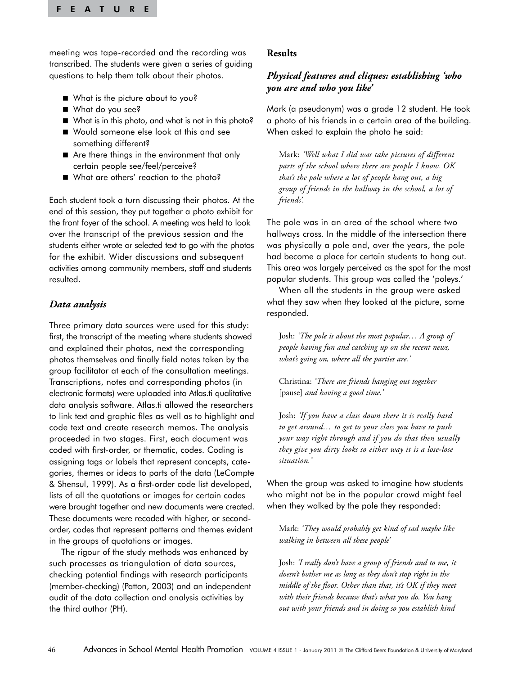meeting was tape-recorded and the recording was transcribed. The students were given a series of guiding questions to help them talk about their photos.

- What is the picture about to you?
- What do you see?
- What is in this photo, and what is not in this photo?
- Would someone else look at this and see something different?
- Are there things in the environment that only certain people see/feel/perceive?
- What are others' reaction to the photo?

Each student took a turn discussing their photos. At the end of this session, they put together a photo exhibit for the front foyer of the school. A meeting was held to look over the transcript of the previous session and the students either wrote or selected text to go with the photos for the exhibit. Wider discussions and subsequent activities among community members, staff and students resulted.

# *Data analysis*

Three primary data sources were used for this study: first, the transcript of the meeting where students showed and explained their photos, next the corresponding photos themselves and finally field notes taken by the group facilitator at each of the consultation meetings. Transcriptions, notes and corresponding photos (in electronic formats) were uploaded into Atlas.ti qualitative data analysis software. Atlas.ti allowed the researchers to link text and graphic files as well as to highlight and code text and create research memos. The analysis proceeded in two stages. First, each document was coded with first-order, or thematic, codes. Coding is assigning tags or labels that represent concepts, categories, themes or ideas to parts of the data (LeCompte & Shensul, 1999). As a first-order code list developed, lists of all the quotations or images for certain codes were brought together and new documents were created. These documents were recoded with higher, or secondorder, codes that represent patterns and themes evident in the groups of quotations or images.

The rigour of the study methods was enhanced by such processes as triangulation of data sources, checking potential findings with research participants (member-checking) (Patton, 2003) and an independent audit of the data collection and analysis activities by the third author (PH).

# **Results**

# *Physical features and cliques: establishing 'who you are and who you like'*

Mark (a pseudonym) was a grade 12 student. He took a photo of his friends in a certain area of the building. When asked to explain the photo he said:

Mark: *'Well what I did was take pictures of different parts of the school where there are people I know. OK that's the pole where a lot of people hang out, a big group of friends in the hallway in the school, a lot of friends'.* 

The pole was in an area of the school where two hallways cross. In the middle of the intersection there was physically a pole and, over the years, the pole had become a place for certain students to hang out. This area was largely perceived as the spot for the most popular students. This group was called the 'poleys.'

When all the students in the group were asked what they saw when they looked at the picture, some responded.

Josh: *'The pole is about the most popular… A group of people having fun and catching up on the recent news, what's going on, where all the parties are.'* 

Christina: *'There are friends hanging out together*  [pause] *and having a good time.'* 

Josh: *'If you have a class down there it is really hard to get around… to get to your class you have to push your way right through and if you do that then usually they give you dirty looks so either way it is a lose-lose situation.'* 

When the group was asked to imagine how students who might not be in the popular crowd might feel when they walked by the pole they responded:

Mark: *'They would probably get kind of sad maybe like walking in between all these people'* 

Josh: *'I really don't have a group of friends and to me, it doesn't bother me as long as they don't stop right in the middle of the floor. Other than that, it's OK if they meet with their friends because that's what you do. You hang out with your friends and in doing so you establish kind*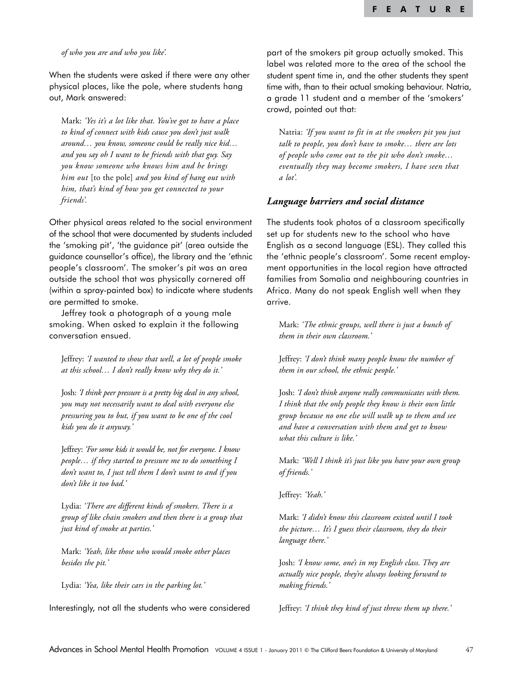#### *of who you are and who you like'.*

When the students were asked if there were any other physical places, like the pole, where students hang out, Mark answered:

Mark: *'Yes it's a lot like that. You've got to have a place to kind of connect with kids cause you don't just walk around… you know, someone could be really nice kid… and you say oh I want to be friends with that guy. Say you know someone who knows him and he brings him out* [to the pole] *and you kind of hang out with him, that's kind of how you get connected to your friends'.* 

Other physical areas related to the social environment of the school that were documented by students included the 'smoking pit', 'the guidance pit' (area outside the guidance counsellor's office), the library and the 'ethnic people's classroom'. The smoker's pit was an area outside the school that was physically cornered off (within a spray-painted box) to indicate where students are permitted to smoke.

Jeffrey took a photograph of a young male smoking. When asked to explain it the following conversation ensued.

Jeffrey: *'I wanted to show that well, a lot of people smoke at this school… I don't really know why they do it.'* 

Josh: *'I think peer pressure is a pretty big deal in any school, you may not necessarily want to deal with everyone else pressuring you to but, if you want to be one of the cool kids you do it anyway.'* 

Jeffrey: *'For some kids it would be, not for everyone. I know people… if they started to pressure me to do something I don't want to, I just tell them I don't want to and if you don't like it too bad.'* 

Lydia: *'There are different kinds of smokers. There is a group of like chain smokers and then there is a group that just kind of smoke at parties.'*

Mark: *'Yeah, like those who would smoke other places besides the pit.'* 

Lydia: *'Yea, like their cars in the parking lot.'*

Interestingly, not all the students who were considered

part of the smokers pit group actually smoked. This label was related more to the area of the school the student spent time in, and the other students they spent time with, than to their actual smoking behaviour. Natria, a grade 11 student and a member of the 'smokers' crowd, pointed out that:

Natria: *'If you want to fit in at the smokers pit you just talk to people, you don't have to smoke… there are lots of people who come out to the pit who don't smoke… eventually they may become smokers, I have seen that a lot'.*

## *Language barriers and social distance*

The students took photos of a classroom specifically set up for students new to the school who have English as a second language (ESL). They called this the 'ethnic people's classroom'. Some recent employment opportunities in the local region have attracted families from Somalia and neighbouring countries in Africa. Many do not speak English well when they arrive.

Mark: *'The ethnic groups, well there is just a bunch of them in their own classroom.'* 

Jeffrey: *'I don't think many people know the number of them in our school, the ethnic people.'* 

Josh: *'I don't think anyone really communicates with them. I think that the only people they know is their own little group because no one else will walk up to them and see and have a conversation with them and get to know what this culture is like.'* 

Mark: *'Well I think it's just like you have your own group of friends.'*

Jeffrey: *'Yeah.'* 

Mark: *'I didn't know this classroom existed until I took the picture… It's I guess their classroom, they do their language there.'* 

Josh: *'I know some, one's in my English class. They are actually nice people, they're always looking forward to making friends.'* 

Jeffrey: *'I think they kind of just threw them up there.'*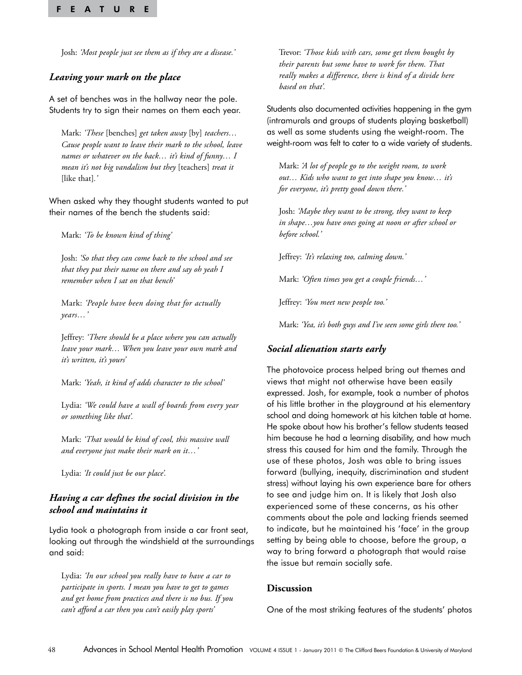Josh: *'Most people just see them as if they are a disease.'* 

# *Leaving your mark on the place*

A set of benches was in the hallway near the pole. Students try to sign their names on them each year.

Mark: *'These* [benches] *get taken away* [by] *teachers… Cause people want to leave their mark to the school, leave names or whatever on the back… it's kind of funny… I mean it's not big vandalism but they* [teachers] *treat it*  [like that]*.'*

When asked why they thought students wanted to put their names of the bench the students said:

Mark: *'To be known kind of thing'* 

Josh: *'So that they can come back to the school and see that they put their name on there and say oh yeah I remember when I sat on that bench'*

Mark: *'People have been doing that for actually years…'*

Jeffrey: *'There should be a place where you can actually leave your mark… When you leave your own mark and it's written, it's yours'* 

Mark: *'Yeah, it kind of adds character to the school'* 

Lydia: *'We could have a wall of boards from every year or something like that'.* 

Mark: *'That would be kind of cool, this massive wall and everyone just make their mark on it…'* 

Lydia: *'It could just be our place'.* 

# *Having a car defines the social division in the school and maintains it*

Lydia took a photograph from inside a car front seat, looking out through the windshield at the surroundings and said:

Lydia: *'In our school you really have to have a car to participate in sports. I mean you have to get to games and get home from practices and there is no bus. If you can't afford a car then you can't easily play sports'* 

Trevor: *'Those kids with cars, some get them bought by their parents but some have to work for them. That really makes a difference, there is kind of a divide here based on that'.* 

Students also documented activities happening in the gym (intramurals and groups of students playing basketball) as well as some students using the weight-room. The weight-room was felt to cater to a wide variety of students.

Mark: *'A lot of people go to the weight room, to work out… Kids who want to get into shape you know… it's for everyone, it's pretty good down there.'* 

Josh: *'Maybe they want to be strong, they want to keep in shape…you have ones going at noon or after school or before school.'* 

Jeffrey: *'It's relaxing too, calming down.'* 

Mark: *'Often times you get a couple friends…'* 

Jeffrey: *'You meet new people too.'* 

Mark: *'Yea, it's both guys and I've seen some girls there too.'*

## *Social alienation starts early*

The photovoice process helped bring out themes and views that might not otherwise have been easily expressed. Josh, for example, took a number of photos of his little brother in the playground at his elementary school and doing homework at his kitchen table at home. He spoke about how his brother's fellow students teased him because he had a learning disability, and how much stress this caused for him and the family. Through the use of these photos, Josh was able to bring issues forward (bullying, inequity, discrimination and student stress) without laying his own experience bare for others to see and judge him on. It is likely that Josh also experienced some of these concerns, as his other comments about the pole and lacking friends seemed to indicate, but he maintained his 'face' in the group setting by being able to choose, before the group, a way to bring forward a photograph that would raise the issue but remain socially safe.

## **Discussion**

One of the most striking features of the students' photos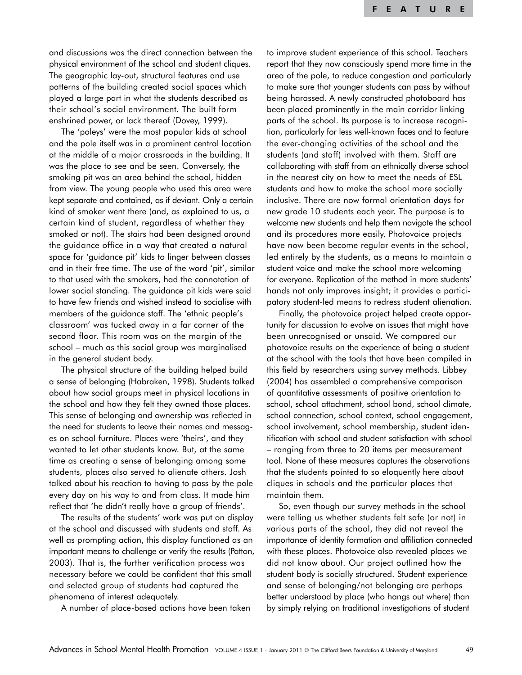and discussions was the direct connection between the physical environment of the school and student cliques. The geographic lay-out, structural features and use patterns of the building created social spaces which played a large part in what the students described as their school's social environment. The built form enshrined power, or lack thereof (Dovey, 1999).

The 'poleys' were the most popular kids at school and the pole itself was in a prominent central location at the middle of a major crossroads in the building. It was the place to see and be seen. Conversely, the smoking pit was an area behind the school, hidden from view. The young people who used this area were kept separate and contained, as if deviant. Only a certain kind of smoker went there (and, as explained to us, a certain kind of student, regardless of whether they smoked or not). The stairs had been designed around the guidance office in a way that created a natural space for 'guidance pit' kids to linger between classes and in their free time. The use of the word 'pit', similar to that used with the smokers, had the connotation of lower social standing. The guidance pit kids were said to have few friends and wished instead to socialise with members of the guidance staff. The 'ethnic people's classroom' was tucked away in a far corner of the second floor. This room was on the margin of the school – much as this social group was marginalised in the general student body.

The physical structure of the building helped build a sense of belonging (Habraken, 1998). Students talked about how social groups meet in physical locations in the school and how they felt they owned those places. This sense of belonging and ownership was reflected in the need for students to leave their names and messages on school furniture. Places were 'theirs', and they wanted to let other students know. But, at the same time as creating a sense of belonging among some students, places also served to alienate others. Josh talked about his reaction to having to pass by the pole every day on his way to and from class. It made him reflect that 'he didn't really have a group of friends'.

The results of the students' work was put on display at the school and discussed with students and staff. As well as prompting action, this display functioned as an important means to challenge or verify the results (Patton, 2003). That is, the further verification process was necessary before we could be confident that this small and selected group of students had captured the phenomena of interest adequately.

A number of place-based actions have been taken

to improve student experience of this school. Teachers report that they now consciously spend more time in the area of the pole, to reduce congestion and particularly to make sure that younger students can pass by without being harassed. A newly constructed photoboard has been placed prominently in the main corridor linking parts of the school. Its purpose is to increase recognition, particularly for less well-known faces and to feature the ever-changing activities of the school and the students (and staff) involved with them. Staff are collaborating with staff from an ethnically diverse school in the nearest city on how to meet the needs of ESL students and how to make the school more socially inclusive. There are now formal orientation days for new grade 10 students each year. The purpose is to welcome new students and help them navigate the school and its procedures more easily. Photovoice projects have now been become regular events in the school, led entirely by the students, as a means to maintain a student voice and make the school more welcoming for everyone. Replication of the method in more students' hands not only improves insight; it provides a participatory student-led means to redress student alienation.

Finally, the photovoice project helped create opportunity for discussion to evolve on issues that might have been unrecognised or unsaid. We compared our photovoice results on the experience of being a student at the school with the tools that have been compiled in this field by researchers using survey methods. Libbey (2004) has assembled a comprehensive comparison of quantitative assessments of positive orientation to school, school attachment, school bond, school climate, school connection, school context, school engagement, school involvement, school membership, student identification with school and student satisfaction with school – ranging from three to 20 items per measurement tool. None of these measures captures the observations that the students pointed to so eloquently here about cliques in schools and the particular places that maintain them.

So, even though our survey methods in the school were telling us whether students felt safe (or not) in various parts of the school, they did not reveal the importance of identity formation and affiliation connected with these places. Photovoice also revealed places we did not know about. Our project outlined how the student body is socially structured. Student experience and sense of belonging/not belonging are perhaps better understood by place (who hangs out where) than by simply relying on traditional investigations of student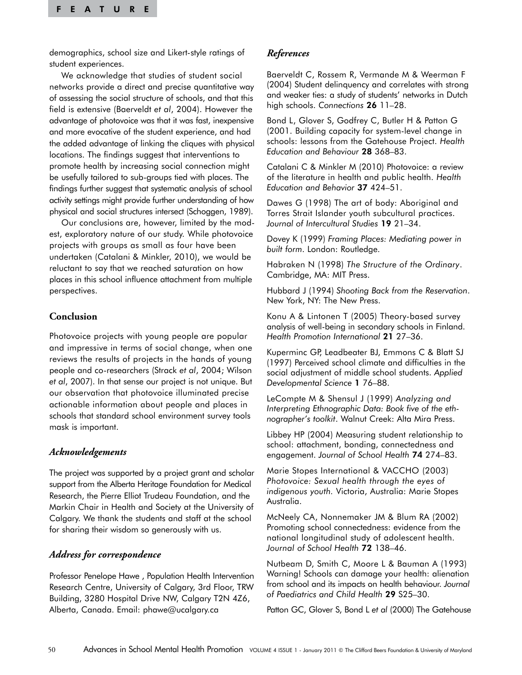demographics, school size and Likert-style ratings of student experiences.

We acknowledge that studies of student social networks provide a direct and precise quantitative way of assessing the social structure of schools, and that this field is extensive (Baerveldt *et al*, 2004). However the advantage of photovoice was that it was fast, inexpensive and more evocative of the student experience, and had the added advantage of linking the cliques with physical locations. The findings suggest that interventions to promote health by increasing social connection might be usefully tailored to sub-groups tied with places. The findings further suggest that systematic analysis of school activity settings might provide further understanding of how physical and social structures intersect (Schoggen, 1989).

Our conclusions are, however, limited by the modest, exploratory nature of our study. While photovoice projects with groups as small as four have been undertaken (Catalani & Minkler, 2010), we would be reluctant to say that we reached saturation on how places in this school influence attachment from multiple perspectives.

# **Conclusion**

Photovoice projects with young people are popular and impressive in terms of social change, when one reviews the results of projects in the hands of young people and co-researchers (Strack *et al*, 2004; Wilson *et al*, 2007). In that sense our project is not unique. But our observation that photovoice illuminated precise actionable information about people and places in schools that standard school environment survey tools mask is important.

## *Acknowledgements*

The project was supported by a project grant and scholar support from the Alberta Heritage Foundation for Medical Research, the Pierre Elliot Trudeau Foundation, and the Markin Chair in Health and Society at the University of Calgary. We thank the students and staff at the school for sharing their wisdom so generously with us.

# *Address for correspondence*

Professor Penelope Hawe , Population Health Intervention Research Centre, University of Calgary, 3rd Floor, TRW Building, 3280 Hospital Drive NW, Calgary T2N 4Z6, Alberta, Canada. Email: phawe@ucalgary.ca

# *References*

Baerveldt C, Rossem R, Vermande M & Weerman F (2004) Student delinquency and correlates with strong and weaker ties: a study of students' networks in Dutch high schools. *Connections* 26 11–28.

Bond L, Glover S, Godfrey C, Butler H & Patton G (2001. Building capacity for system-level change in schools: lessons from the Gatehouse Project. *Health Education and Behaviour* 28 368–83.

Catalani C & Minkler M (2010) Photovoice: a review of the literature in health and public health. *Health Education and Behavior* 37 424–51.

Dawes G (1998) The art of body: Aboriginal and Torres Strait Islander youth subcultural practices. *Journal of Intercultural Studies* 19 21–34.

Dovey K (1999) *Framing Places: Mediating power in built form*. London: Routledge.

Habraken N (1998) *The Structure of the Ordinary*. Cambridge, MA: MIT Press.

Hubbard J (1994) *Shooting Back from the Reservation*. New York, NY: The New Press.

Konu A & Lintonen T (2005) Theory-based survey analysis of well-being in secondary schools in Finland. *Health Promotion International* 21 27–36.

Kuperminc GP, Leadbeater BJ, Emmons C & Blatt SJ (1997) Perceived school climate and difficulties in the social adjustment of middle school students. *Applied Developmental Science* 1 76–88.

LeCompte M & Shensul J (1999) *Analyzing and Interpreting Ethnographic Data: Book five of the ethnographer's toolkit*. Walnut Creek: Alta Mira Press.

Libbey HP (2004) Measuring student relationship to school: attachment, bonding, connectedness and engagement. *Journal of School Health* 74 274–83.

Marie Stopes International & VACCHO (2003) *Photovoice: Sexual health through the eyes of indigenous youth.* Victoria, Australia: Marie Stopes Australia.

McNeely CA, Nonnemaker JM & Blum RA (2002) Promoting school connectedness: evidence from the national longitudinal study of adolescent health. *Journal of School Health* 72 138–46.

Nutbeam D, Smith C, Moore L & Bauman A (1993) Warning! Schools can damage your health: alienation from school and its impacts on health behaviour. *Journal of Paediatrics and Child Health* 29 S25–30.

Patton GC, Glover S, Bond L *et al* (2000) The Gatehouse